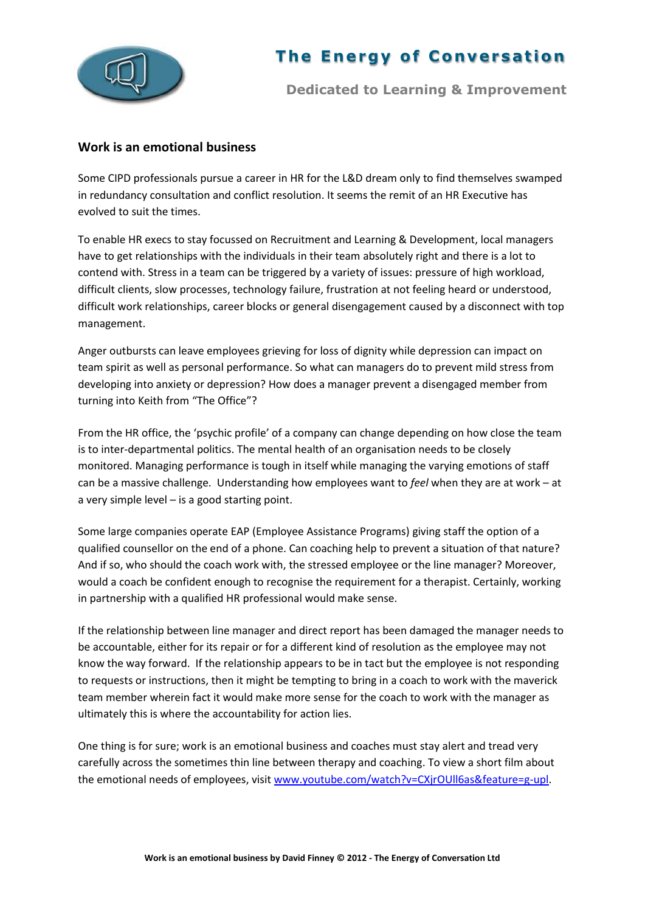

## **The Energy of Conversation**

**Dedicated to Learning & Improvement**

## **Work is an emotional business**

Some CIPD professionals pursue a career in HR for the L&D dream only to find themselves swamped in redundancy consultation and conflict resolution. It seems the remit of an HR Executive has evolved to suit the times.

To enable HR execs to stay focussed on Recruitment and Learning & Development, local managers have to get relationships with the individuals in their team absolutely right and there is a lot to contend with. Stress in a team can be triggered by a variety of issues: pressure of high workload, difficult clients, slow processes, technology failure, frustration at not feeling heard or understood, difficult work relationships, career blocks or general disengagement caused by a disconnect with top management.

Anger outbursts can leave employees grieving for loss of dignity while depression can impact on team spirit as well as personal performance. So what can managers do to prevent mild stress from developing into anxiety or depression? How does a manager prevent a disengaged member from turning into Keith from "The Office"?

From the HR office, the 'psychic profile' of a company can change depending on how close the team is to inter-departmental politics. The mental health of an organisation needs to be closely monitored. Managing performance is tough in itself while managing the varying emotions of staff can be a massive challenge. Understanding how employees want to *feel* when they are at work – at a very simple level – is a good starting point.

Some large companies operate EAP (Employee Assistance Programs) giving staff the option of a qualified counsellor on the end of a phone. Can coaching help to prevent a situation of that nature? And if so, who should the coach work with, the stressed employee or the line manager? Moreover, would a coach be confident enough to recognise the requirement for a therapist. Certainly, working in partnership with a qualified HR professional would make sense.

If the relationship between line manager and direct report has been damaged the manager needs to be accountable, either for its repair or for a different kind of resolution as the employee may not know the way forward. If the relationship appears to be in tact but the employee is not responding to requests or instructions, then it might be tempting to bring in a coach to work with the maverick team member wherein fact it would make more sense for the coach to work with the manager as ultimately this is where the accountability for action lies.

One thing is for sure; work is an emotional business and coaches must stay alert and tread very carefully across the sometimes thin line between therapy and coaching. To view a short film about the emotional needs of employees, visit [www.youtube.com/watch?v=CXjrOUll6as&feature=g-upl.](http://www.youtube.com/watch?v=CXjrOUll6as&feature=g-upl)